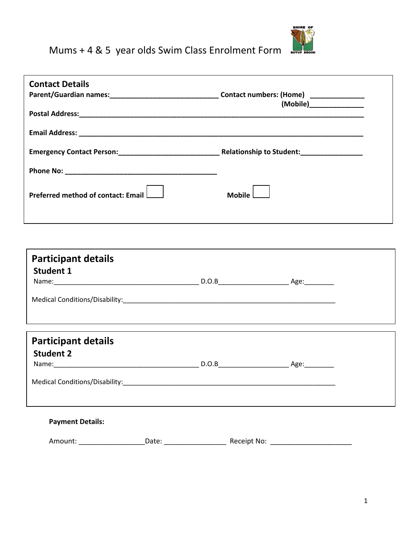

## Mums + 4 & 5 year olds Swim Class Enrolment Form

| <b>Contact Details</b>                         |       |               | (Mobile)________________ |
|------------------------------------------------|-------|---------------|--------------------------|
|                                                |       |               |                          |
|                                                |       |               |                          |
|                                                |       |               |                          |
| Preferred method of contact: Email $\Box$      |       | Mobile $\Box$ |                          |
|                                                |       |               |                          |
| <b>Participant details</b>                     |       |               |                          |
| <b>Student 1</b>                               |       |               |                          |
|                                                |       |               |                          |
|                                                |       |               |                          |
| <b>Participant details</b><br><b>Student 2</b> |       |               |                          |
| Medical Conditions/Disability:____________     |       |               |                          |
| <b>Payment Details:</b>                        |       |               |                          |
| Amount:                                        | Date: |               |                          |